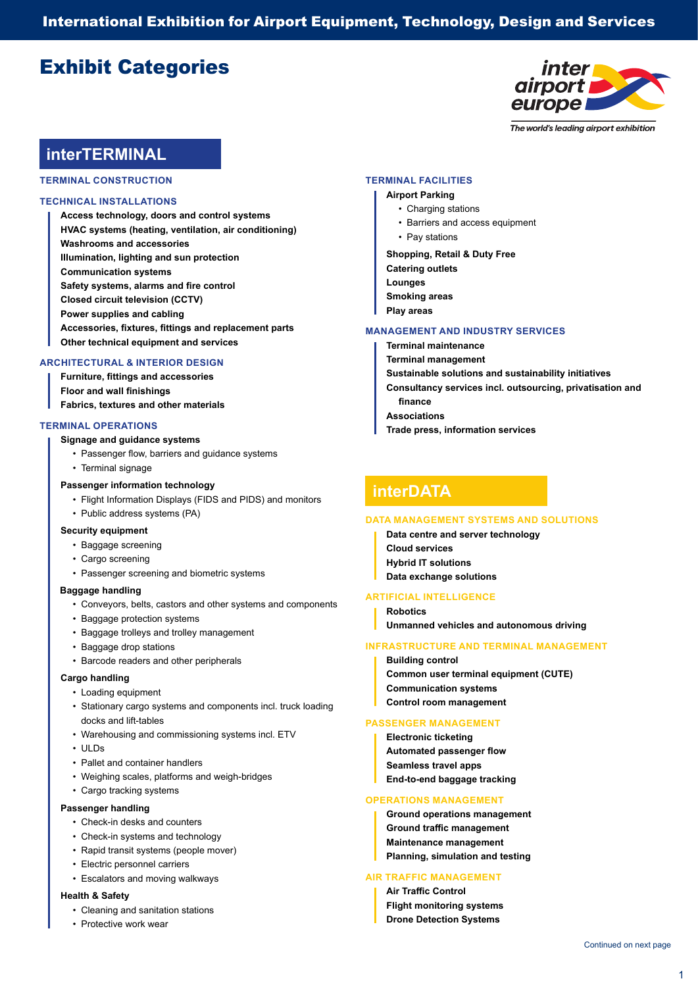International Exhibition for Airport Equipment, Technology, Design and Services

# Exhibit Categories



The world's leading airport exhibition

# **interTERMINAL**

**TERMINAL CONSTRUCTION**

### **TECHNICAL INSTALLATIONS**

**Access technology, doors and control systems HVAC systems (heating, ventilation, air conditioning) Washrooms and accessories Illumination, lighting and sun protection Communication systems Safety systems, alarms and fire control Closed circuit television (CCTV) Power supplies and cabling Accessories, fixtures, fittings and replacement parts Other technical equipment and services**

### **ARCHITECTURAL & INTERIOR DESIGN**

**Furniture, fittings and accessories Floor and wall finishings Fabrics, textures and other materials**

### **TERMINAL OPERATIONS**

### **Signage and guidance systems**

- Passenger flow, barriers and guidance systems
- Terminal signage

### **Passenger information technology**

- Flight Information Displays (FIDS and PIDS) and monitors
- Public address systems (PA)

### **Security equipment**

- Baggage screening
- Cargo screening
- Passenger screening and biometric systems

### **Baggage handling**

- Conveyors, belts, castors and other systems and components
- Baggage protection systems
- Baggage trolleys and trolley management
- Baggage drop stations
- Barcode readers and other peripherals

## **Cargo handling**

- Loading equipment
- Stationary cargo systems and components incl. truck loading docks and lift-tables
- Warehousing and commissioning systems incl. ETV
- ULDs
- Pallet and container handlers
- Weighing scales, platforms and weigh-bridges
- Cargo tracking systems

### **Passenger handling**

- Check-in desks and counters
- Check-in systems and technology
- Rapid transit systems (people mover)
- Electric personnel carriers
- Escalators and moving walkways

# **Health & Safety**

- Cleaning and sanitation stations
- Protective work wear

### **TERMINAL FACILITIES**

# **Airport Parking**

- Charging stations
- Barriers and access equipment
- Pay stations

**Shopping, Retail & Duty Free Catering outlets Lounges Smoking areas Play areas**

### **MANAGEMENT AND INDUSTRY SERVICES**

- **Terminal maintenance Terminal management Sustainable solutions and sustainability initiatives Consultancy services incl. outsourcing, privatisation and finance Associations**
- **Trade press, information services**

# **interDATA**

### **DATA MANAGEMENT SYSTEMS AND SOLUTIONS**

- **Data centre and server technology Cloud services Hybrid IT solutions**
- **Data exchange solutions**

# **ARTIFICIAL INTELLIGENCE**

- **Robotics**
- **Unmanned vehicles and autonomous driving**

### **INFRASTRUCTURE AND TERMINAL MANAGEMENT**

**Building control Common user terminal equipment (CUTE) Communication systems Control room management**

## **PASSENGER MANAGEMENT**

**Electronic ticketing Automated passenger flow Seamless travel apps End-to-end baggage tracking**

### **OPERATIONS MANAGEMENT**

**Ground operations management Ground traffic management Maintenance management Planning, simulation and testing**

### **AIR TRAFFIC MANAGEMENT**

**Air Traffic Control Flight monitoring systems Drone Detection Systems**